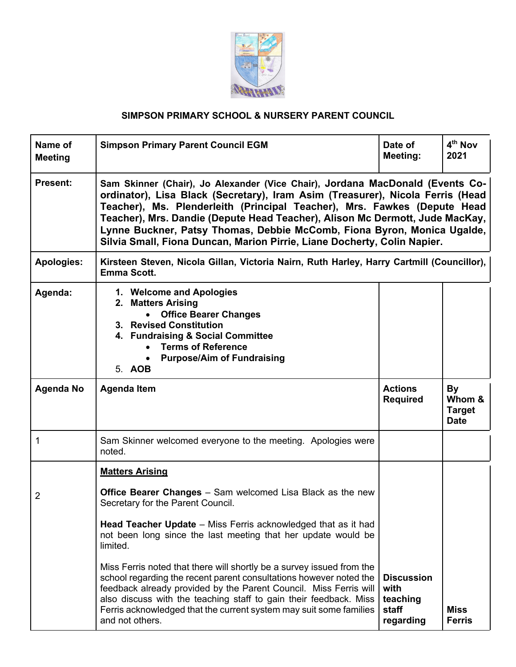

## **SIMPSON PRIMARY SCHOOL & NURSERY PARENT COUNCIL**

| Name of<br><b>Meeting</b> | <b>Simpson Primary Parent Council EGM</b>                                                                                                                                                                                                                                                                                                                                                                                                                                                                                                     | Date of<br>Meeting:                   | 4 <sup>th</sup> Nov<br>2021            |  |
|---------------------------|-----------------------------------------------------------------------------------------------------------------------------------------------------------------------------------------------------------------------------------------------------------------------------------------------------------------------------------------------------------------------------------------------------------------------------------------------------------------------------------------------------------------------------------------------|---------------------------------------|----------------------------------------|--|
| <b>Present:</b>           | Sam Skinner (Chair), Jo Alexander (Vice Chair), Jordana MacDonald (Events Co-<br>ordinator), Lisa Black (Secretary), Iram Asim (Treasurer), Nicola Ferris (Head<br>Teacher), Ms. Plenderleith (Principal Teacher), Mrs. Fawkes (Depute Head<br>Teacher), Mrs. Dandie (Depute Head Teacher), Alison Mc Dermott, Jude MacKay,<br>Lynne Buckner, Patsy Thomas, Debbie McComb, Fiona Byron, Monica Ugalde,<br>Silvia Small, Fiona Duncan, Marion Pirrie, Liane Docherty, Colin Napier.                                                            |                                       |                                        |  |
| <b>Apologies:</b>         | Kirsteen Steven, Nicola Gillan, Victoria Nairn, Ruth Harley, Harry Cartmill (Councillor),<br><b>Emma Scott.</b>                                                                                                                                                                                                                                                                                                                                                                                                                               |                                       |                                        |  |
| Agenda:                   | 1. Welcome and Apologies<br>2. Matters Arising<br><b>Office Bearer Changes</b><br>3. Revised Constitution<br>4. Fundraising & Social Committee<br><b>Terms of Reference</b><br><b>Purpose/Aim of Fundraising</b><br>5. AOB                                                                                                                                                                                                                                                                                                                    |                                       |                                        |  |
| <b>Agenda No</b>          | <b>Agenda Item</b>                                                                                                                                                                                                                                                                                                                                                                                                                                                                                                                            | <b>Actions</b>                        | By                                     |  |
|                           |                                                                                                                                                                                                                                                                                                                                                                                                                                                                                                                                               | <b>Required</b>                       | Whom &<br><b>Target</b><br><b>Date</b> |  |
| 1                         | Sam Skinner welcomed everyone to the meeting. Apologies were<br>noted.                                                                                                                                                                                                                                                                                                                                                                                                                                                                        |                                       |                                        |  |
|                           | <b>Matters Arising</b>                                                                                                                                                                                                                                                                                                                                                                                                                                                                                                                        |                                       |                                        |  |
| 2                         | <b>Office Bearer Changes</b> – Sam welcomed Lisa Black as the new<br>Secretary for the Parent Council.<br>Head Teacher Update – Miss Ferris acknowledged that as it had<br>not been long since the last meeting that her update would be<br>limited.<br>Miss Ferris noted that there will shortly be a survey issued from the<br>school regarding the recent parent consultations however noted the<br>feedback already provided by the Parent Council. Miss Ferris will<br>also discuss with the teaching staff to gain their feedback. Miss | <b>Discussion</b><br>with<br>teaching |                                        |  |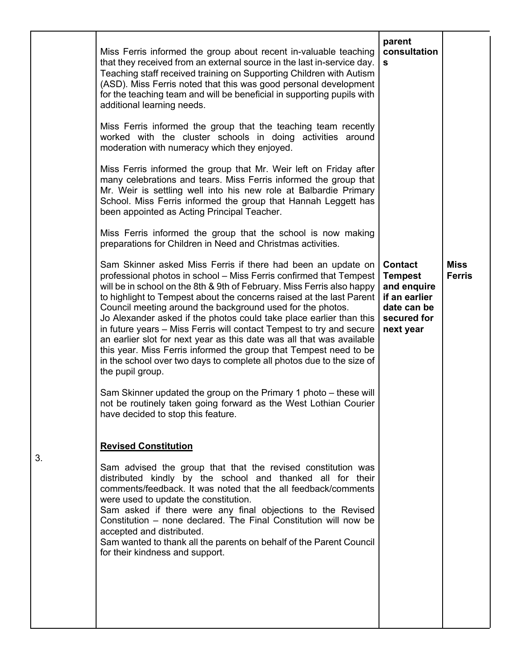| Miss Ferris informed the group about recent in-valuable teaching<br>that they received from an external source in the last in-service day.<br>Teaching staff received training on Supporting Children with Autism<br>(ASD). Miss Ferris noted that this was good personal development<br>for the teaching team and will be beneficial in supporting pupils with<br>additional learning needs.<br>Miss Ferris informed the group that the teaching team recently<br>worked with the cluster schools in doing activities around<br>moderation with numeracy which they enjoyed.<br>Miss Ferris informed the group that Mr. Weir left on Friday after<br>many celebrations and tears. Miss Ferris informed the group that<br>Mr. Weir is settling well into his new role at Balbardie Primary<br>School. Miss Ferris informed the group that Hannah Leggett has<br>been appointed as Acting Principal Teacher.<br>Miss Ferris informed the group that the school is now making<br>preparations for Children in Need and Christmas activities. | parent<br>consultation<br>s                                                                                 |                              |
|--------------------------------------------------------------------------------------------------------------------------------------------------------------------------------------------------------------------------------------------------------------------------------------------------------------------------------------------------------------------------------------------------------------------------------------------------------------------------------------------------------------------------------------------------------------------------------------------------------------------------------------------------------------------------------------------------------------------------------------------------------------------------------------------------------------------------------------------------------------------------------------------------------------------------------------------------------------------------------------------------------------------------------------------|-------------------------------------------------------------------------------------------------------------|------------------------------|
| Sam Skinner asked Miss Ferris if there had been an update on<br>professional photos in school - Miss Ferris confirmed that Tempest<br>will be in school on the 8th & 9th of February. Miss Ferris also happy<br>to highlight to Tempest about the concerns raised at the last Parent<br>Council meeting around the background used for the photos.<br>Jo Alexander asked if the photos could take place earlier than this<br>in future years – Miss Ferris will contact Tempest to try and secure<br>an earlier slot for next year as this date was all that was available<br>this year. Miss Ferris informed the group that Tempest need to be<br>in the school over two days to complete all photos due to the size of<br>the pupil group.<br>Sam Skinner updated the group on the Primary 1 photo – these will<br>not be routinely taken going forward as the West Lothian Courier<br>have decided to stop this feature.                                                                                                                | <b>Contact</b><br><b>Tempest</b><br>and enquire<br>if an earlier<br>date can be<br>secured for<br>next year | <b>Miss</b><br><b>Ferris</b> |
| <b>Revised Constitution</b><br>Sam advised the group that that the revised constitution was<br>distributed kindly by the school and thanked all for their<br>comments/feedback. It was noted that the all feedback/comments<br>were used to update the constitution.<br>Sam asked if there were any final objections to the Revised<br>Constitution – none declared. The Final Constitution will now be<br>accepted and distributed.<br>Sam wanted to thank all the parents on behalf of the Parent Council<br>for their kindness and support.                                                                                                                                                                                                                                                                                                                                                                                                                                                                                             |                                                                                                             |                              |

3.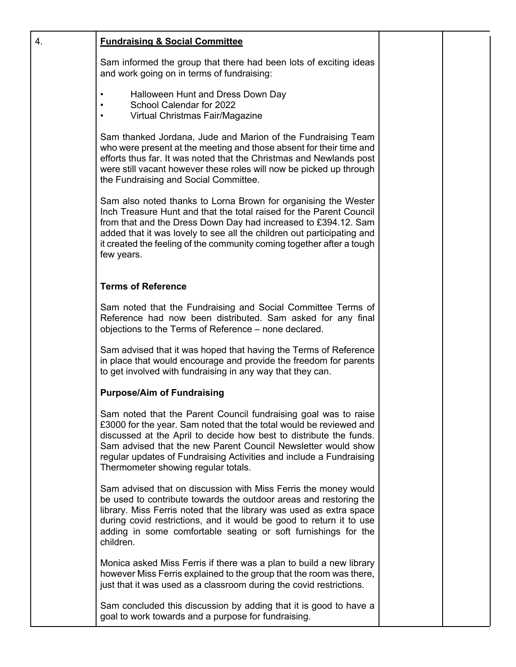| 4. | <b>Fundraising &amp; Social Committee</b>                                                                                                                                                                                                                                                                                                                                                  |  |
|----|--------------------------------------------------------------------------------------------------------------------------------------------------------------------------------------------------------------------------------------------------------------------------------------------------------------------------------------------------------------------------------------------|--|
|    | Sam informed the group that there had been lots of exciting ideas<br>and work going on in terms of fundraising:                                                                                                                                                                                                                                                                            |  |
|    | Halloween Hunt and Dress Down Day<br>School Calendar for 2022<br>Virtual Christmas Fair/Magazine                                                                                                                                                                                                                                                                                           |  |
|    | Sam thanked Jordana, Jude and Marion of the Fundraising Team<br>who were present at the meeting and those absent for their time and<br>efforts thus far. It was noted that the Christmas and Newlands post<br>were still vacant however these roles will now be picked up through<br>the Fundraising and Social Committee.                                                                 |  |
|    | Sam also noted thanks to Lorna Brown for organising the Wester<br>Inch Treasure Hunt and that the total raised for the Parent Council<br>from that and the Dress Down Day had increased to £394.12. Sam<br>added that it was lovely to see all the children out participating and<br>it created the feeling of the community coming together after a tough<br>few years.                   |  |
|    | <b>Terms of Reference</b>                                                                                                                                                                                                                                                                                                                                                                  |  |
|    | Sam noted that the Fundraising and Social Committee Terms of<br>Reference had now been distributed. Sam asked for any final<br>objections to the Terms of Reference – none declared.                                                                                                                                                                                                       |  |
|    | Sam advised that it was hoped that having the Terms of Reference<br>in place that would encourage and provide the freedom for parents<br>to get involved with fundraising in any way that they can.                                                                                                                                                                                        |  |
|    | <b>Purpose/Aim of Fundraising</b>                                                                                                                                                                                                                                                                                                                                                          |  |
|    | Sam noted that the Parent Council fundraising goal was to raise<br>£3000 for the year. Sam noted that the total would be reviewed and<br>discussed at the April to decide how best to distribute the funds.<br>Sam advised that the new Parent Council Newsletter would show<br>regular updates of Fundraising Activities and include a Fundraising<br>Thermometer showing regular totals. |  |
|    | Sam advised that on discussion with Miss Ferris the money would<br>be used to contribute towards the outdoor areas and restoring the<br>library. Miss Ferris noted that the library was used as extra space<br>during covid restrictions, and it would be good to return it to use<br>adding in some comfortable seating or soft furnishings for the<br>children.                          |  |
|    | Monica asked Miss Ferris if there was a plan to build a new library<br>however Miss Ferris explained to the group that the room was there,<br>just that it was used as a classroom during the covid restrictions.                                                                                                                                                                          |  |
|    | Sam concluded this discussion by adding that it is good to have a<br>goal to work towards and a purpose for fundraising.                                                                                                                                                                                                                                                                   |  |